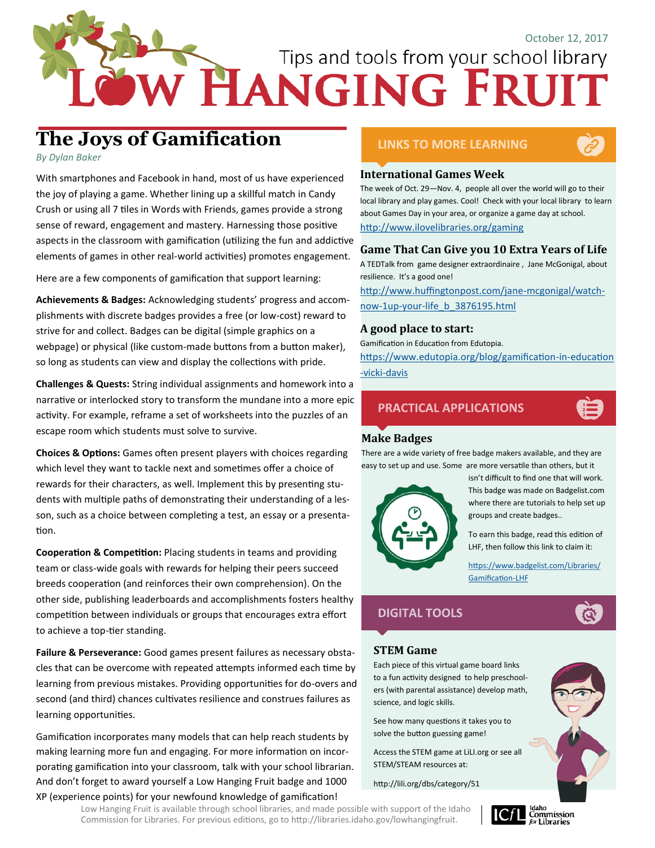# Tips and tools from your school library

# **The Joys of Gamification**

*By Dylan Baker*

With smartphones and Facebook in hand, most of us have experienced the joy of playing a game. Whether lining up a skillful match in Candy Crush or using all 7 tiles in Words with Friends, games provide a strong sense of reward, engagement and mastery. Harnessing those positive aspects in the classroom with gamification (utilizing the fun and addictive elements of games in other real-world activities) promotes engagement.

Here are a few components of gamification that support learning:

**Achievements & Badges:** Acknowledging students' progress and accomplishments with discrete badges provides a free (or low-cost) reward to strive for and collect. Badges can be digital (simple graphics on a webpage) or physical (like custom-made buttons from a button maker), so long as students can view and display the collections with pride.

**Challenges & Quests:** String individual assignments and homework into a narrative or interlocked story to transform the mundane into a more epic activity. For example, reframe a set of worksheets into the puzzles of an escape room which students must solve to survive.

**Choices & Options:** Games often present players with choices regarding which level they want to tackle next and sometimes offer a choice of rewards for their characters, as well. Implement this by presenting students with multiple paths of demonstrating their understanding of a lesson, such as a choice between completing a test, an essay or a presentation.

**Cooperation & Competition:** Placing students in teams and providing team or class-wide goals with rewards for helping their peers succeed breeds cooperation (and reinforces their own comprehension). On the other side, publishing leaderboards and accomplishments fosters healthy competition between individuals or groups that encourages extra effort to achieve a top-tier standing.

**Failure & Perseverance:** Good games present failures as necessary obstacles that can be overcome with repeated attempts informed each time by learning from previous mistakes. Providing opportunities for do-overs and second (and third) chances cultivates resilience and construes failures as learning opportunities.

Gamification incorporates many models that can help reach students by making learning more fun and engaging. For more information on incorporating gamification into your classroom, talk with your school librarian. And don't forget to award yourself a Low Hanging Fruit badge and 1000 XP (experience points) for your newfound knowledge of gamification!

# **LINKS TO MORE LEARNING**



#### **International Games Week**

The week of Oct. 29—Nov. 4, people all over the world will go to their local library and play games. Cool! Check with your local library to learn about Games Day in your area, or organize a game day at school. <http://www.ilovelibraries.org/gaming>

#### **Game That Can Give you 10 Extra Years of Life**

A TEDTalk from game designer extraordinaire , Jane McGonigal, about resilience. It's a good one!

[http://www.huffingtonpost.com/jane](http://www.huffingtonpost.com/jane-mcgonigal/watch-now-1up-your-life_b_3876195.html)-mcgonigal/watchnow-1up-your-[life\\_b\\_3876195.html](http://www.huffingtonpost.com/jane-mcgonigal/watch-now-1up-your-life_b_3876195.html)

#### **A good place to start:**

Gamification in Education from Edutopia. [https://www.edutopia.org/blog/gamification](https://www.edutopia.org/blog/gamification-in-education-vicki-davis)-in-education -vicki-[davis](https://www.edutopia.org/blog/gamification-in-education-vicki-davis)

## **PRACTICAL APPLICATIONS**



### **Make Badges**

There are a wide variety of free badge makers available, and they are easy to set up and use. Some are more versatile than others, but it



isn't difficult to find one that will work. This badge was made on Badgelist.com where there are tutorials to help set up groups and create badges..

To earn this badge, read this edition of LHF, then follow this link to claim it:

[https://www.badgelist.com/Libraries/](https://www.badgelist.com/Libraries/Gamification-LHF) [Gamification](https://www.badgelist.com/Libraries/Gamification-LHF)-LHF



#### **STEM Game**

Each piece of this virtual game board links to a fun activity designed to help preschoolers (with parental assistance) develop math, science, and logic skills.

See how many questions it takes you to solve the button guessing game!

Access the STEM game at LiLI.org or see all STEM/STEAM resources at:

#### http://lili.org/dbs/category/51



Low Hanging Fruit is available through school libraries, and made possible with support of the Idaho Commission for Libraries. For previous editions, go to http://libraries.idaho.gov/lowhangingfruit.